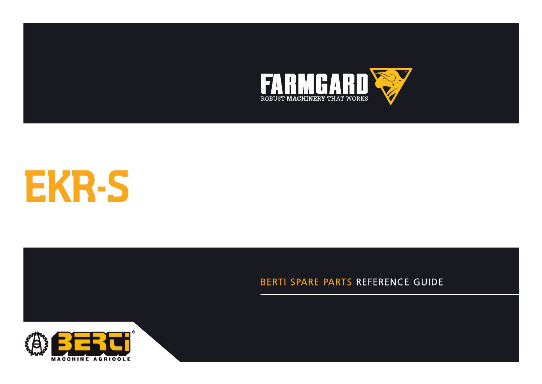



**CATALOGUE DE PIECES DETACHEES**

#### BERTI SPARE PARTS REFERENCE GUIDE

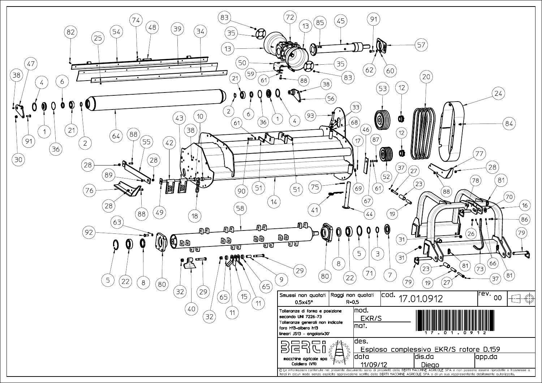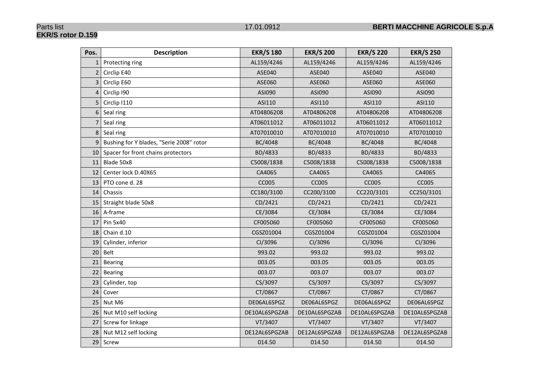## **EKR/S rotor D.159**

| Pos.           | <b>Description</b>                       | <b>EKR/S 180</b> | <b>EKR/S 200</b> | <b>EKR/S 220</b> | <b>EKR/S 250</b> |
|----------------|------------------------------------------|------------------|------------------|------------------|------------------|
| $\mathbf{1}$   | Protecting ring                          | AL159/4246       | AL159/4246       | AL159/4246       | AL159/4246       |
| $\overline{2}$ | Circlip E40                              | ASE040           | ASE040           | <b>ASE040</b>    | <b>ASE040</b>    |
| 3              | Circlip E60                              | ASE060           | ASE060           | ASE060           | ASE060           |
| $\overline{4}$ | Circlip 190                              | ASI090           | ASI090           | ASI090           | ASI090           |
| 5              | Circlip I110                             | ASI110           | ASI110           | ASI110           | ASI110           |
| 6              | Seal ring                                | AT04806208       | AT04806208       | AT04806208       | AT04806208       |
| 7              | Seal ring                                | AT06011012       | AT06011012       | AT06011012       | AT06011012       |
| 8              | Seal ring                                | AT07010010       | AT07010010       | AT07010010       | AT07010010       |
| 9              | Bushing for Y blades, "Serie 2008" rotor | BC/4048          | BC/4048          | BC/4048          | BC/4048          |
| 10             | Spacer for front chains protectors       | BD/4833          | BD/4833          | BD/4833          | BD/4833          |
| 11             | Blade 50x8                               | C5008/1838       | C5008/1838       | C5008/1838       | C5008/1838       |
| 12             | Center lock D.40X65                      | CA4065           | CA4065           | CA4065           | CA4065           |
| 13             | PTO cone d. 28                           | <b>CC005</b>     | <b>CC005</b>     | <b>CC005</b>     | <b>CC005</b>     |
| 14             | Chassis                                  | CC180/3100       | CC200/3100       | CC220/3101       | CC250/3101       |
| 15             | Straight blade 50x8                      | CD/2421          | CD/2421          | CD/2421          | CD/2421          |
| 16             | A-frame                                  | CE/3084          | CE/3084          | CE/3084          | CE/3084          |
| 17             | Pin 5x40                                 | CF005060         | CF005060         | CF005060         | CF005060         |
| 18             | Chain d.10                               | CGSZ01004        | CGSZ01004        | CGSZ01004        | CGSZ01004        |
| 19             | Cylinder, inferior                       | CI/3096          | CI/3096          | CI/3096          | CI/3096          |
| 20             | Belt                                     | 993.02           | 993.02           | 993.02           | 993.02           |
| 21             | Bearing                                  | 003.05           | 003.05           | 003.05           | 003.05           |
| 22             | <b>Bearing</b>                           | 003.07           | 003.07           | 003.07           | 003.07           |
| 23             | Cylinder, top                            | CS/3097          | CS/3097          | CS/3097          | CS/3097          |
| 24             | Cover                                    | CT/0867          | CT/0867          | CT/0867          | CT/0867          |
| 25             | Nut M6                                   | DE06AL6SPGZ      | DE06AL6SPGZ      | DE06AL6SPGZ      | DE06AL6SPGZ      |
| 26             | Nut M10 self locking                     | DE10AL6SPGZAB    | DE10AL6SPGZAB    | DE10AL6SPGZAB    | DE10AL6SPGZAB    |
| 27             | Screw for linkage                        | VT/3407          | VT/3407          | VT/3407          | VT/3407          |
| 28             | Nut M12 self locking                     | DE12AL6SPGZAB    | DE12AL6SPGZAB    | DE12AL6SPGZAB    | DE12AL6SPGZAB    |
|                | 29 Screw                                 | 014.50           | 014.50           | 014.50           | 014.50           |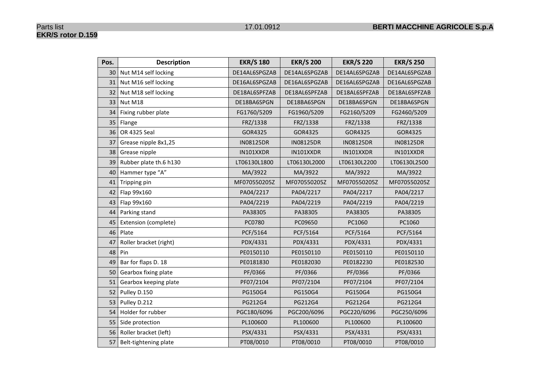| Pos. | <b>Description</b>     | <b>EKR/S 180</b> | <b>EKR/S 200</b> | <b>EKR/S 220</b> | <b>EKR/S 250</b> |
|------|------------------------|------------------|------------------|------------------|------------------|
| 30   | Nut M14 self locking   | DE14AL6SPGZAB    | DE14AL6SPGZAB    | DE14AL6SPGZAB    | DE14AL6SPGZAB    |
| 31   | Nut M16 self locking   | DE16AL6SPGZAB    | DE16AL6SPGZAB    | DE16AL6SPGZAB    | DE16AL6SPGZAB    |
| 32   | Nut M18 self locking   | DE18AL6SPFZAB    | DE18AL6SPFZAB    | DE18AL6SPFZAB    | DE18AL6SPFZAB    |
| 33   | Nut M18                | DE18BA6SPGN      | DE18BA6SPGN      | DE18BA6SPGN      | DE18BA6SPGN      |
| 34   | Fixing rubber plate    | FG1760/5209      | FG1960/5209      | FG2160/5209      | FG2460/5209      |
| 35   | Flange                 | FRZ/1338         | FRZ/1338         | FRZ/1338         | FRZ/1338         |
| 36   | OR 4325 Seal           | GOR4325          | GOR4325          | GOR4325          | GOR4325          |
| 37   | Grease nipple 8x1,25   | <b>IN08125DR</b> | <b>IN08125DR</b> | <b>IN08125DR</b> | <b>IN08125DR</b> |
| 38   | Grease nipple          | IN101XXDR        | IN101XXDR        | IN101XXDR        | IN101XXDR        |
| 39   | Rubber plate th.6 h130 | LT06130L1800     | LT06130L2000     | LT06130L2200     | LT06130L2500     |
| 40   | Hammer type "A"        | MA/3922          | MA/3922          | MA/3922          | MA/3922          |
| 41   | Tripping pin           | MF070550205Z     | MF070550205Z     | MF070550205Z     | MF070550205Z     |
| 42   | Flap 99x160            | PA04/2217        | PA04/2217        | PA04/2217        | PA04/2217        |
| 43   | Flap 99x160            | PA04/2219        | PA04/2219        | PA04/2219        | PA04/2219        |
| 44   | Parking stand          | PA38305          | PA38305          | PA38305          | PA38305          |
| 45   | Extension (complete)   | PC0780           | PC09650          | PC1060           | PC1060           |
| 46   | Plate                  | PCF/5164         | PCF/5164         | PCF/5164         | PCF/5164         |
| 47   | Roller bracket (right) | PDX/4331         | PDX/4331         | PDX/4331         | PDX/4331         |
| 48   | Pin                    | PE0150110        | PE0150110        | PE0150110        | PE0150110        |
| 49   | Bar for flaps D. 18    | PE0181830        | PE0182030        | PE0182230        | PE0182530        |
| 50   | Gearbox fixing plate   | PF/0366          | PF/0366          | PF/0366          | PF/0366          |
| 51   | Gearbox keeping plate  | PF07/2104        | PF07/2104        | PF07/2104        | PF07/2104        |
| 52   | Pulley D.150           | PG150G4          | PG150G4          | PG150G4          | PG150G4          |
| 53   | Pulley D.212           | PG212G4          | PG212G4          | PG212G4          | PG212G4          |
| 54   | Holder for rubber      | PGC180/6096      | PGC200/6096      | PGC220/6096      | PGC250/6096      |
| 55   | Side protection        | PL100600         | PL100600         | PL100600         | PL100600         |
| 56   | Roller bracket (left)  | PSX/4331         | PSX/4331         | PSX/4331         | PSX/4331         |
| 57   | Belt-tightening plate  | PT08/0010        | PT08/0010        | PT08/0010        | PT08/0010        |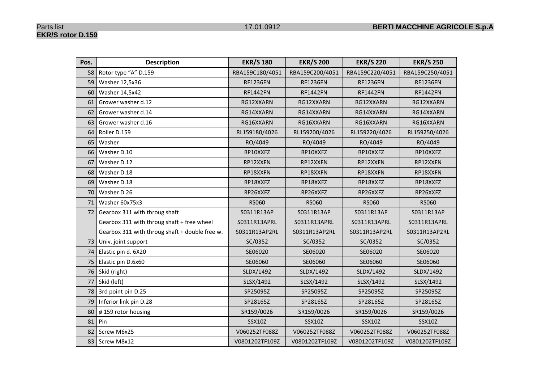## **EKR/S rotor D.159**

| Pos. | <b>Description</b>                             | <b>EKR/S 180</b> | <b>EKR/S 200</b> | <b>EKR/S 220</b> | <b>EKR/S 250</b> |
|------|------------------------------------------------|------------------|------------------|------------------|------------------|
| 58   | Rotor type "A" D.159                           | RBA159C180/4051  | RBA159C200/4051  | RBA159C220/4051  | RBA159C250/4051  |
| 59   | Washer 12,5x36                                 | <b>RF1236FN</b>  | <b>RF1236FN</b>  | <b>RF1236FN</b>  | <b>RF1236FN</b>  |
| 60   | Washer 14,5x42                                 | <b>RF1442FN</b>  | <b>RF1442FN</b>  | <b>RF1442FN</b>  | <b>RF1442FN</b>  |
| 61   | Grower washer d.12                             | RG12XXARN        | RG12XXARN        | RG12XXARN        | RG12XXARN        |
| 62   | Grower washer d.14                             | RG14XXARN        | RG14XXARN        | RG14XXARN        | RG14XXARN        |
| 63   | Grower washer d.16                             | RG16XXARN        | RG16XXARN        | RG16XXARN        | RG16XXARN        |
| 64   | Roller D.159                                   | RL159180/4026    | RL159200/4026    | RL159220/4026    | RL159250/4026    |
| 65   | Washer                                         | RO/4049          | RO/4049          | RO/4049          | RO/4049          |
| 66   | Washer D.10                                    | RP10XXFZ         | RP10XXFZ         | RP10XXFZ         | RP10XXFZ         |
| 67   | Washer D.12                                    | RP12XXFN         | RP12XXFN         | RP12XXFN         | RP12XXFN         |
| 68   | Washer D.18                                    | RP18XXFN         | RP18XXFN         | RP18XXFN         | RP18XXFN         |
| 69   | Washer D.18                                    | RP18XXFZ         | RP18XXFZ         | RP18XXFZ         | RP18XXFZ         |
| 70   | Washer D.26                                    | RP26XXFZ         | RP26XXFZ         | RP26XXFZ         | RP26XXFZ         |
| 71   | Washer 60x75x3                                 | <b>RS060</b>     | <b>RS060</b>     | <b>RS060</b>     | <b>RS060</b>     |
| 72   | Gearbox 311 with throug shaft                  | S0311R13AP       | S0311R13AP       | S0311R13AP       | S0311R13AP       |
|      | Gearbox 311 with throug shaft + free wheel     | S0311R13APRL     | S0311R13APRL     | S0311R13APRL     | S0311R13APRL     |
|      | Gearbox 311 with throug shaft + double free w. | S0311R13AP2RL    | S0311R13AP2RL    | S0311R13AP2RL    | S0311R13AP2RL    |
| 73   | Univ. joint support                            | SC/0352          | SC/0352          | SC/0352          | SC/0352          |
| 74   | Elastic pin d. 6X20                            | SE06020          | SE06020          | SE06020          | SE06020          |
| 75   | Elastic pin D.6x60                             | SE06060          | SE06060          | SE06060          | SE06060          |
| 76   | Skid (right)                                   | SLDX/1492        | SLDX/1492        | SLDX/1492        | SLDX/1492        |
| 77   | Skid (left)                                    | SLSX/1492        | SLSX/1492        | SLSX/1492        | SLSX/1492        |
| 78   | 3rd point pin D.25                             | SP25095Z         | SP25095Z         | SP25095Z         | SP25095Z         |
| 79   | Inferior link pin D.28                         | SP28165Z         | SP28165Z         | SP28165Z         | SP28165Z         |
| 80   | ø 159 rotor housing                            | SR159/0026       | SR159/0026       | SR159/0026       | SR159/0026       |
| 81   | Pin                                            | <b>SSX10Z</b>    | SSX10Z           | <b>SSX10Z</b>    | <b>SSX10Z</b>    |
| 82   | Screw M6x25                                    | V060252TF088Z    | V060252TF088Z    | V060252TF088Z    | V060252TF088Z    |
| 83   | Screw M8x12                                    | V0801202TF109Z   | V0801202TF109Z   | V0801202TF109Z   | V0801202TF109Z   |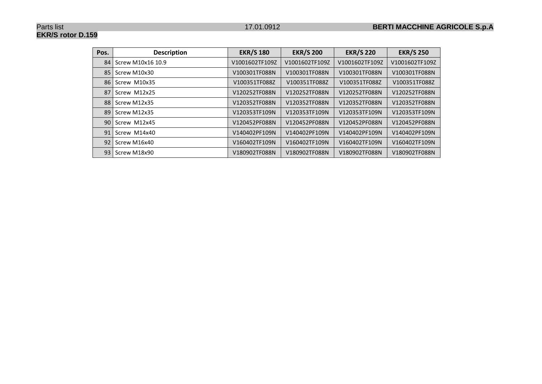#### Parts list 17.01.0912 **BERTI MACCHINE AGRICOLE S.p.A**

## **EKR/S rotor D.159**

| Pos. | <b>Description</b> | <b>EKR/S 180</b> | <b>EKR/S 200</b> | <b>EKR/S 220</b> | <b>EKR/S 250</b> |
|------|--------------------|------------------|------------------|------------------|------------------|
| 84   | Screw M10x16 10.9  | V1001602TF109Z   | V1001602TF109Z   | V1001602TF109Z   | V1001602TF109Z   |
| 85   | Screw M10x30       | V100301TF088N    | V100301TF088N    | V100301TF088N    | V100301TF088N    |
| 86   | Screw M10x35       | V100351TF088Z    | V100351TF088Z    | V100351TF088Z    | V100351TF088Z    |
| 87   | Screw M12x25       | V120252TF088N    | V120252TF088N    | V120252TF088N    | V120252TF088N    |
| 88   | Screw M12x35       | V120352TF088N    | V120352TF088N    | V120352TF088N    | V120352TF088N    |
| 89   | Screw M12x35       | V120353TF109N    | V120353TF109N    | V120353TF109N    | V120353TF109N    |
| 90   | Screw M12x45       | V120452PF088N    | V120452PF088N    | V120452PF088N    | V120452PF088N    |
| 91   | Screw M14x40       | V140402PF109N    | V140402PF109N    | V140402PF109N    | V140402PF109N    |
| 92   | Screw M16x40       | V160402TF109N    | V160402TF109N    | V160402TF109N    | V160402TF109N    |
| 93   | Screw M18x90       | V180902TF088N    | V180902TF088N    | V180902TF088N    | V180902TF088N    |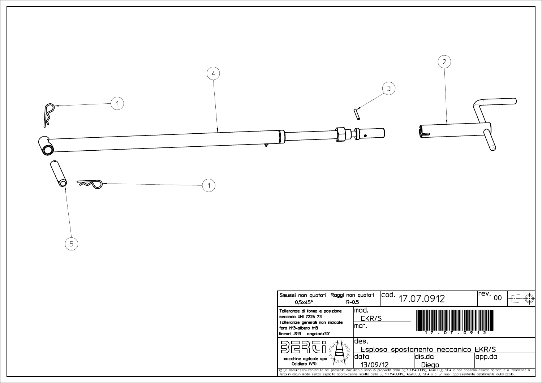

| Smussi non quotati Raggi non quotati<br>$0.5\times 45^\circ$                                                                                                                                                                                                                                           | $R = 0.5$ |                                          | Icod. | 17.07.0912 |  | lrev.<br>იი |  |
|--------------------------------------------------------------------------------------------------------------------------------------------------------------------------------------------------------------------------------------------------------------------------------------------------------|-----------|------------------------------------------|-------|------------|--|-------------|--|
| Tolleranze di forma e posizione<br>secondo UNI 7226-73<br>Tolleranze generali non indicate<br>foro H13-albero h13<br>lineari JS13 - angolari±30'                                                                                                                                                       |           | lmod.<br>EKR/S<br>lmat.<br>.09<br>- D. Z |       |            |  |             |  |
| macchine agricole spa<br>Caldiero (VR)                                                                                                                                                                                                                                                                 |           | ldes.                                    |       |            |  |             |  |
|                                                                                                                                                                                                                                                                                                        |           | Esploso spostamento meccanico EKR/S      |       |            |  |             |  |
|                                                                                                                                                                                                                                                                                                        |           | ldata                                    |       | ldis.da    |  | app.da      |  |
|                                                                                                                                                                                                                                                                                                        |           | 13/09/12                                 |       | Dieao      |  |             |  |
| © Le informazioni contenute nel presente documento sono di proprietà della BERTI MACCHINE AGRICOLE SPA e non possono essere riprodotte o trasmesse a<br>terzi in alcun modo senza esplicita approvazione scritta della BERTI MACCHINE AGRICOLE SPA o di un suo rappresentante debitamente autorizzato. |           |                                          |       |            |  |             |  |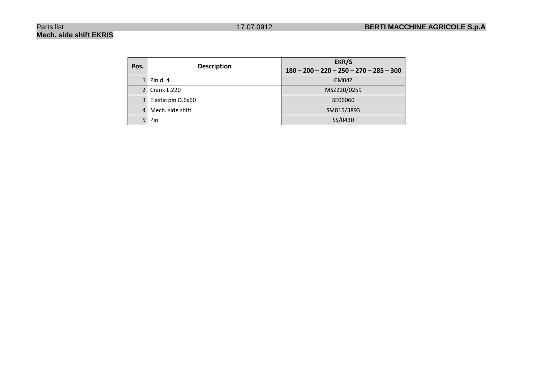## **Mech. side shift EKR/S**

| Pos. | <b>Description</b> | EKR/S<br>$180 - 200 - 220 - 250 - 270 - 285 - 300$ |
|------|--------------------|----------------------------------------------------|
|      |                    |                                                    |
|      | $1$   Pin d. 4     | CM <sub>04</sub> Z                                 |
|      | 2   Crank L.220    | MSZ220/0259                                        |
|      |                    |                                                    |
| 3    | Elastic pin D.6x60 | SE06060                                            |
| 4    | Mech. side shift   | SM815/3893                                         |
|      |                    |                                                    |
|      | Pin                | SS/0430                                            |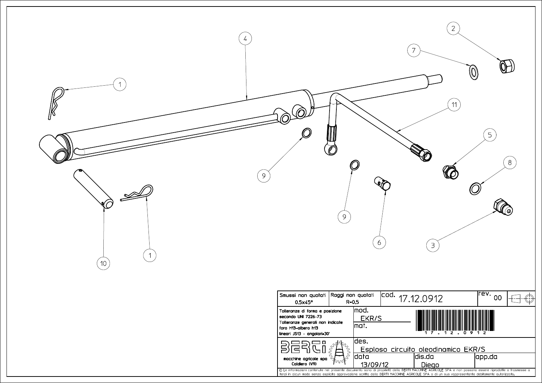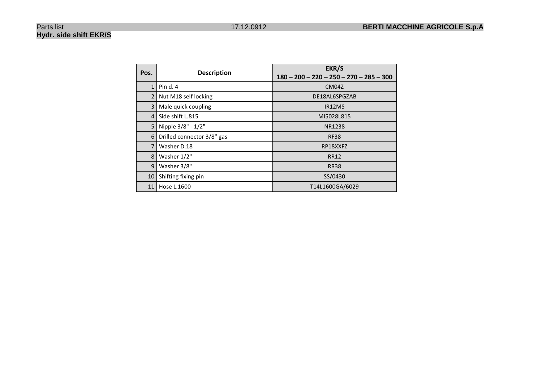## **Hydr. side shift EKR/S**

| Pos.           | <b>Description</b>         | EKR/S<br>$180 - 200 - 220 - 250 - 270 - 285 - 300$ |
|----------------|----------------------------|----------------------------------------------------|
| 1              | Pin d. $4$                 | CM <sub>04</sub> Z                                 |
| $\overline{2}$ | Nut M18 self locking       | DE18AL6SPGZAB                                      |
| 3              | Male quick coupling        | IR12MS                                             |
| $\overline{4}$ | Side shift L.815           | MI5028L815                                         |
| 5              | Nipple 3/8" - 1/2"         | <b>NR1238</b>                                      |
| 6              | Drilled connector 3/8" gas | <b>RF38</b>                                        |
| 7              | Washer D.18                | RP18XXFZ                                           |
| 8              | Washer 1/2"                | <b>RR12</b>                                        |
| 9              | Washer 3/8"                | <b>RR38</b>                                        |
| 10             | Shifting fixing pin        | SS/0430                                            |
| 11             | Hose L.1600                | T14L1600GA/6029                                    |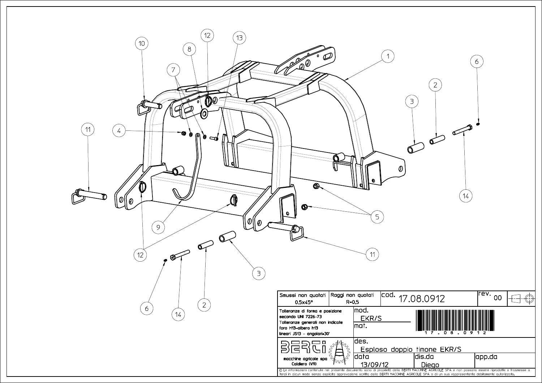